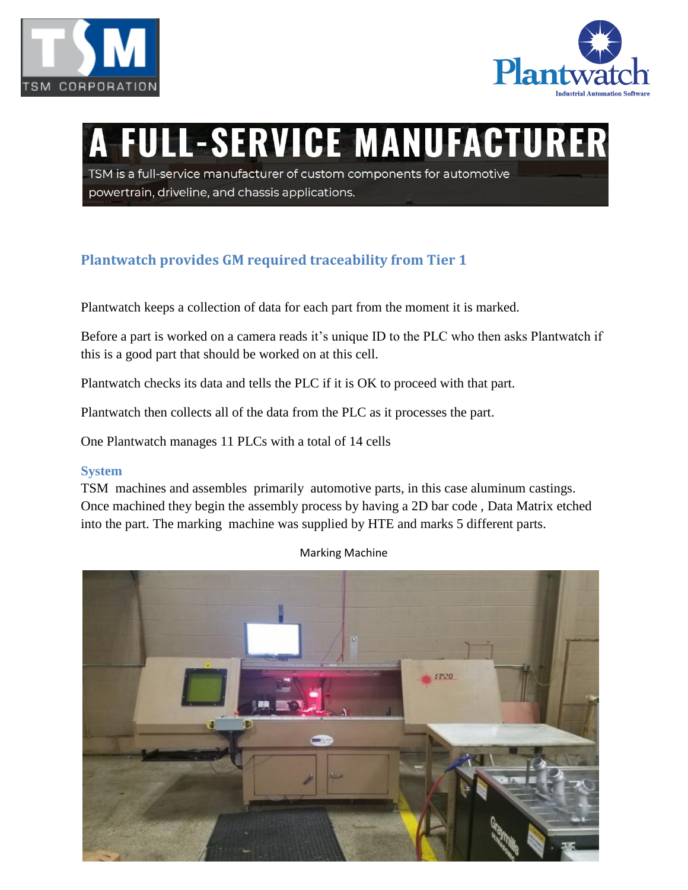



# **FULL-SERVICE MANUFACTURER**

TSM is a full-service manufacturer of custom components for automotive powertrain, driveline, and chassis applications.

## **Plantwatch provides GM required traceability from Tier 1**

Plantwatch keeps a collection of data for each part from the moment it is marked.

Before a part is worked on a camera reads it's unique ID to the PLC who then asks Plantwatch if this is a good part that should be worked on at this cell.

Plantwatch checks its data and tells the PLC if it is OK to proceed with that part.

Plantwatch then collects all of the data from the PLC as it processes the part.

One Plantwatch manages 11 PLCs with a total of 14 cells

#### **System**

TSM machines and assembles primarily automotive parts, in this case aluminum castings. Once machined they begin the assembly process by having a 2D bar code , Data Matrix etched into the part. The marking machine was supplied by HTE and marks 5 different parts.



Marking Machine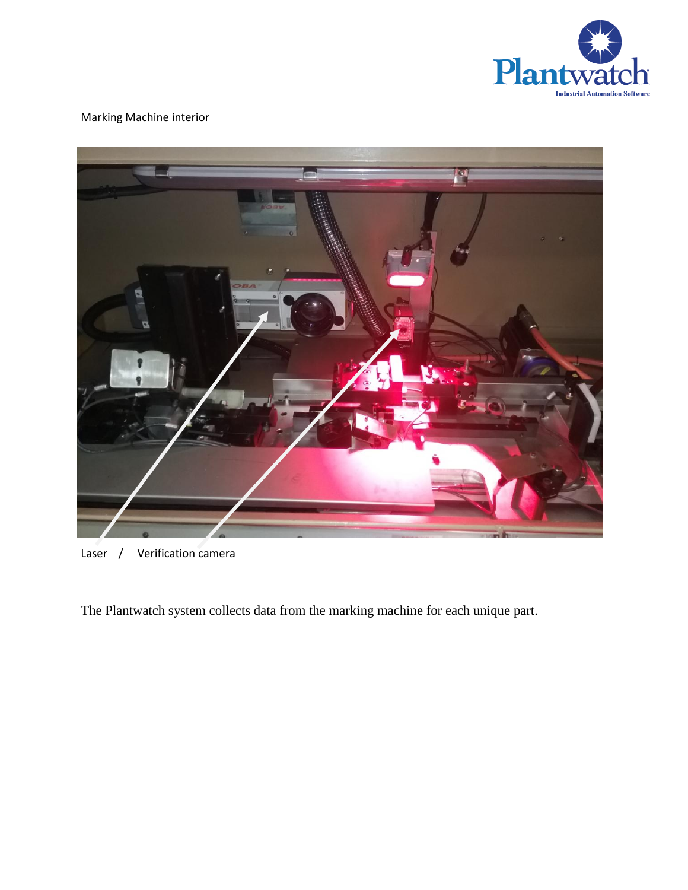

### Marking Machine interior



Laser / Verification camera

The Plantwatch system collects data from the marking machine for each unique part.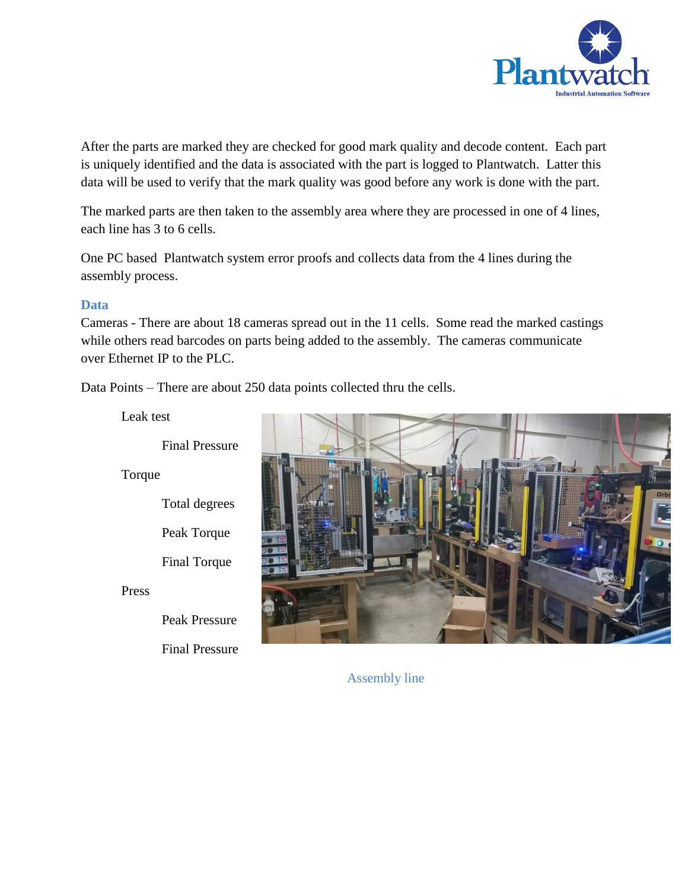

After the parts are marked they are checked for good mark quality and decode content. Each part is uniquely identified and the data is associated with the part is logged to Plantwatch. Latter this data will be used to verify that the mark quality was good before any work is done with the part.

The marked parts are then taken to the assembly area where they are processed in one of 4 lines, each line has 3 to 6 cells.

One PC based Plantwatch system error proofs and collects data from the 4 lines during the assembly process.

#### **Data**

Cameras - There are about 18 cameras spread out in the 11 cells. Some read the marked castings while others read barcodes on parts being added to the assembly. The cameras communicate over Ethernet IP to the PLC.

Data Points – There are about 250 data points collected thru the cells.

Leak test



Torque

Total degrees

Final Torque

Press

Peak Pressure

Final Pressure

Assembly line